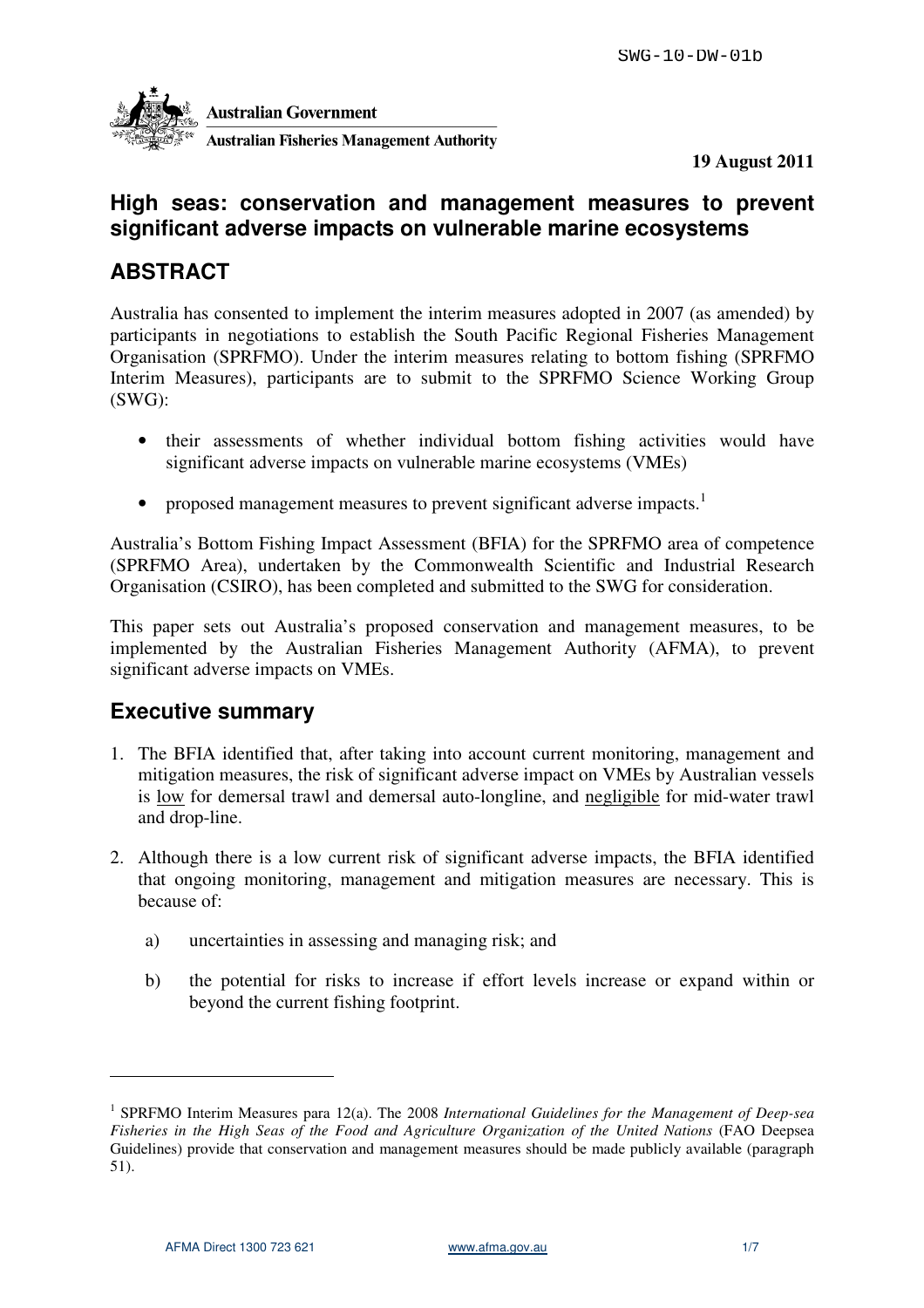

**19 August 2011** 

# **High seas: conservation and management measures to prevent significant adverse impacts on vulnerable marine ecosystems**

# **ABSTRACT**

Australia has consented to implement the interim measures adopted in 2007 (as amended) by participants in negotiations to establish the South Pacific Regional Fisheries Management Organisation (SPRFMO). Under the interim measures relating to bottom fishing (SPRFMO Interim Measures), participants are to submit to the SPRFMO Science Working Group (SWG):

- their assessments of whether individual bottom fishing activities would have significant adverse impacts on vulnerable marine ecosystems (VMEs)
- proposed management measures to prevent significant adverse impacts.<sup>1</sup>

Australia's Bottom Fishing Impact Assessment (BFIA) for the SPRFMO area of competence (SPRFMO Area), undertaken by the Commonwealth Scientific and Industrial Research Organisation (CSIRO), has been completed and submitted to the SWG for consideration.

This paper sets out Australia's proposed conservation and management measures, to be implemented by the Australian Fisheries Management Authority (AFMA), to prevent significant adverse impacts on VMEs.

# **Executive summary**

- 1. The BFIA identified that, after taking into account current monitoring, management and mitigation measures, the risk of significant adverse impact on VMEs by Australian vessels is low for demersal trawl and demersal auto-longline, and negligible for mid-water trawl and drop-line.
- 2. Although there is a low current risk of significant adverse impacts, the BFIA identified that ongoing monitoring, management and mitigation measures are necessary. This is because of:
	- a) uncertainties in assessing and managing risk; and
	- b) the potential for risks to increase if effort levels increase or expand within or beyond the current fishing footprint.

<sup>&</sup>lt;sup>1</sup> SPRFMO Interim Measures para 12(a). The 2008 International Guidelines for the Management of Deep-sea *Fisheries in the High Seas of the Food and Agriculture Organization of the United Nations* (FAO Deepsea Guidelines) provide that conservation and management measures should be made publicly available (paragraph 51).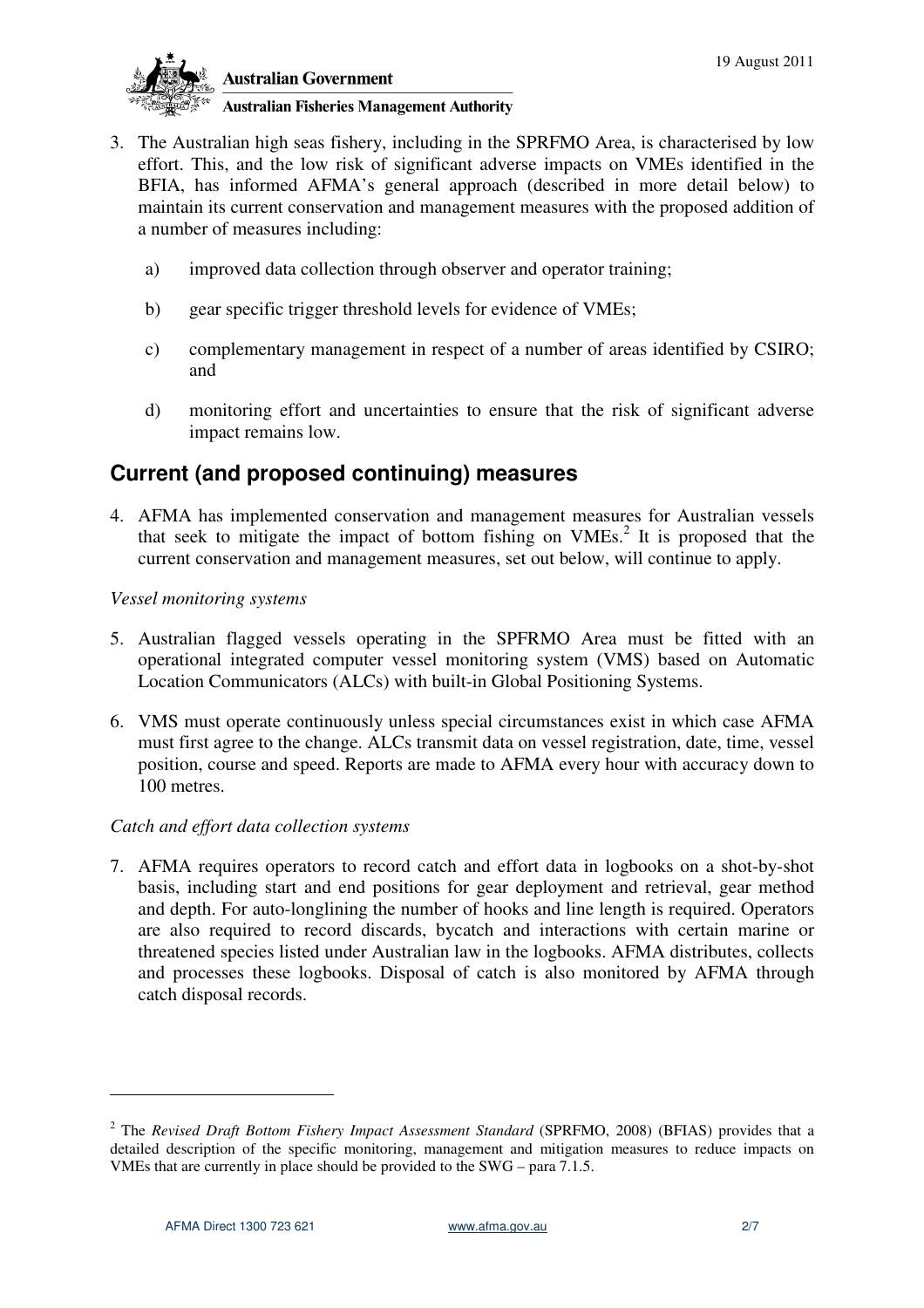

- 3. The Australian high seas fishery, including in the SPRFMO Area, is characterised by low effort. This, and the low risk of significant adverse impacts on VMEs identified in the BFIA, has informed AFMA's general approach (described in more detail below) to maintain its current conservation and management measures with the proposed addition of a number of measures including:
	- a) improved data collection through observer and operator training;
	- b) gear specific trigger threshold levels for evidence of VMEs;
	- c) complementary management in respect of a number of areas identified by CSIRO; and
	- d) monitoring effort and uncertainties to ensure that the risk of significant adverse impact remains low.

# **Current (and proposed continuing) measures**

4. AFMA has implemented conservation and management measures for Australian vessels that seek to mitigate the impact of bottom fishing on  $VMEs<sup>2</sup>$ . It is proposed that the current conservation and management measures, set out below, will continue to apply.

### *Vessel monitoring systems*

- 5. Australian flagged vessels operating in the SPFRMO Area must be fitted with an operational integrated computer vessel monitoring system (VMS) based on Automatic Location Communicators (ALCs) with built-in Global Positioning Systems.
- 6. VMS must operate continuously unless special circumstances exist in which case AFMA must first agree to the change. ALCs transmit data on vessel registration, date, time, vessel position, course and speed. Reports are made to AFMA every hour with accuracy down to 100 metres.

### *Catch and effort data collection systems*

7. AFMA requires operators to record catch and effort data in logbooks on a shot-by-shot basis, including start and end positions for gear deployment and retrieval, gear method and depth. For auto-longlining the number of hooks and line length is required. Operators are also required to record discards, bycatch and interactions with certain marine or threatened species listed under Australian law in the logbooks. AFMA distributes, collects and processes these logbooks. Disposal of catch is also monitored by AFMA through catch disposal records.

<sup>&</sup>lt;sup>2</sup> The *Revised Draft Bottom Fishery Impact Assessment Standard* (SPRFMO, 2008) (BFIAS) provides that a detailed description of the specific monitoring, management and mitigation measures to reduce impacts on VMEs that are currently in place should be provided to the SWG – para 7.1.5.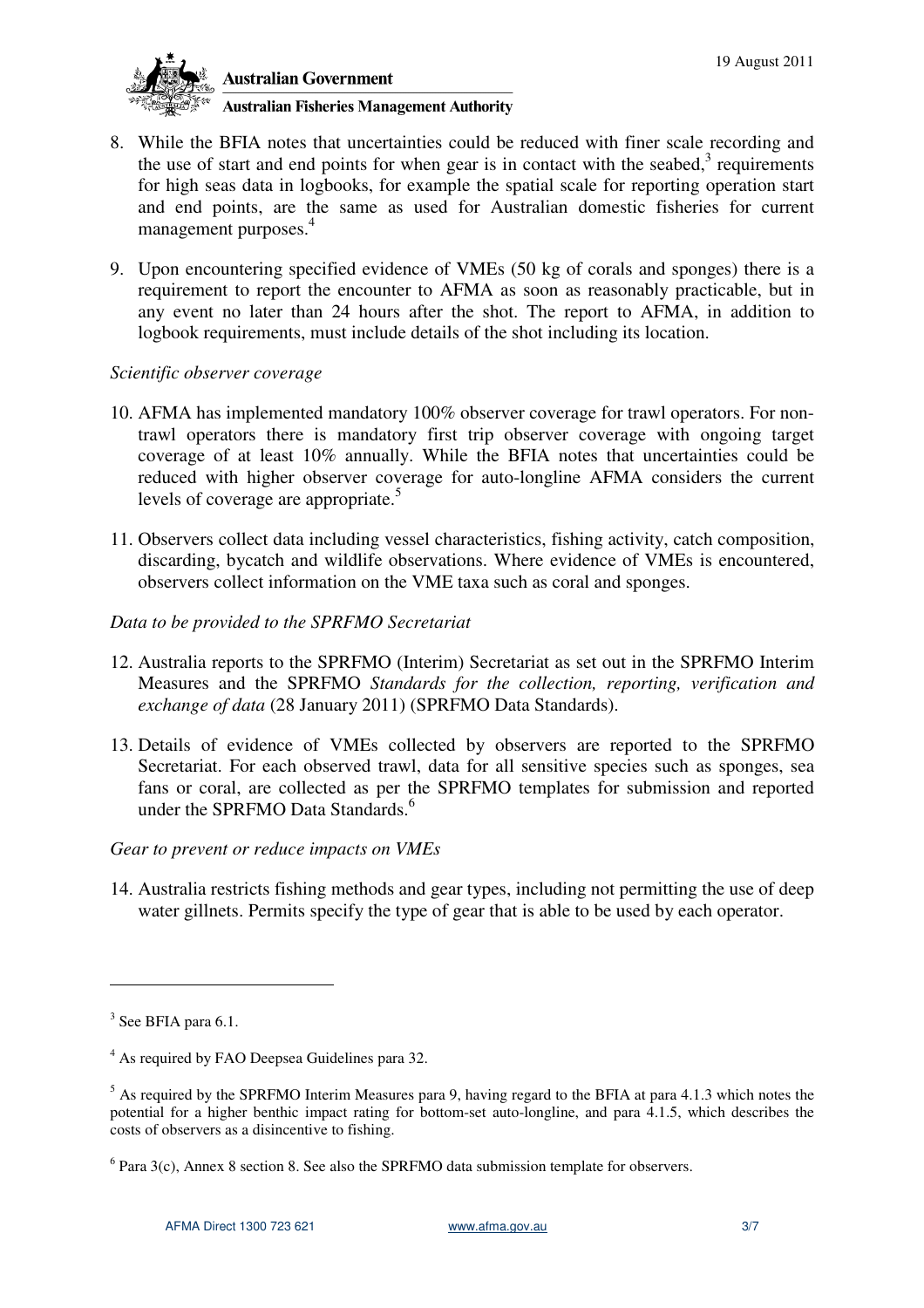

**Australian Government** 

### **Australian Fisheries Management Authority**

- 8. While the BFIA notes that uncertainties could be reduced with finer scale recording and the use of start and end points for when gear is in contact with the seabed, $3$  requirements for high seas data in logbooks, for example the spatial scale for reporting operation start and end points, are the same as used for Australian domestic fisheries for current management purposes.<sup>4</sup>
- 9. Upon encountering specified evidence of VMEs (50 kg of corals and sponges) there is a requirement to report the encounter to AFMA as soon as reasonably practicable, but in any event no later than 24 hours after the shot. The report to AFMA, in addition to logbook requirements, must include details of the shot including its location.

### *Scientific observer coverage*

- 10. AFMA has implemented mandatory 100% observer coverage for trawl operators. For nontrawl operators there is mandatory first trip observer coverage with ongoing target coverage of at least 10% annually. While the BFIA notes that uncertainties could be reduced with higher observer coverage for auto-longline AFMA considers the current levels of coverage are appropriate.<sup>5</sup>
- 11. Observers collect data including vessel characteristics, fishing activity, catch composition, discarding, bycatch and wildlife observations. Where evidence of VMEs is encountered, observers collect information on the VME taxa such as coral and sponges.
- *Data to be provided to the SPRFMO Secretariat*
- 12. Australia reports to the SPRFMO (Interim) Secretariat as set out in the SPRFMO Interim Measures and the SPRFMO *Standards for the collection, reporting, verification and exchange of data* (28 January 2011) (SPRFMO Data Standards).
- 13. Details of evidence of VMEs collected by observers are reported to the SPRFMO Secretariat. For each observed trawl, data for all sensitive species such as sponges, sea fans or coral, are collected as per the SPRFMO templates for submission and reported under the SPRFMO Data Standards.<sup>6</sup>

### *Gear to prevent or reduce impacts on VMEs*

14. Australia restricts fishing methods and gear types, including not permitting the use of deep water gillnets. Permits specify the type of gear that is able to be used by each operator.

 $3$  See BFIA para 6.1.

<sup>&</sup>lt;sup>4</sup> As required by FAO Deepsea Guidelines para 32.

<sup>&</sup>lt;sup>5</sup> As required by the SPRFMO Interim Measures para 9, having regard to the BFIA at para 4.1.3 which notes the potential for a higher benthic impact rating for bottom-set auto-longline, and para 4.1.5, which describes the costs of observers as a disincentive to fishing.

 $6$  Para 3(c), Annex 8 section 8. See also the SPRFMO data submission template for observers.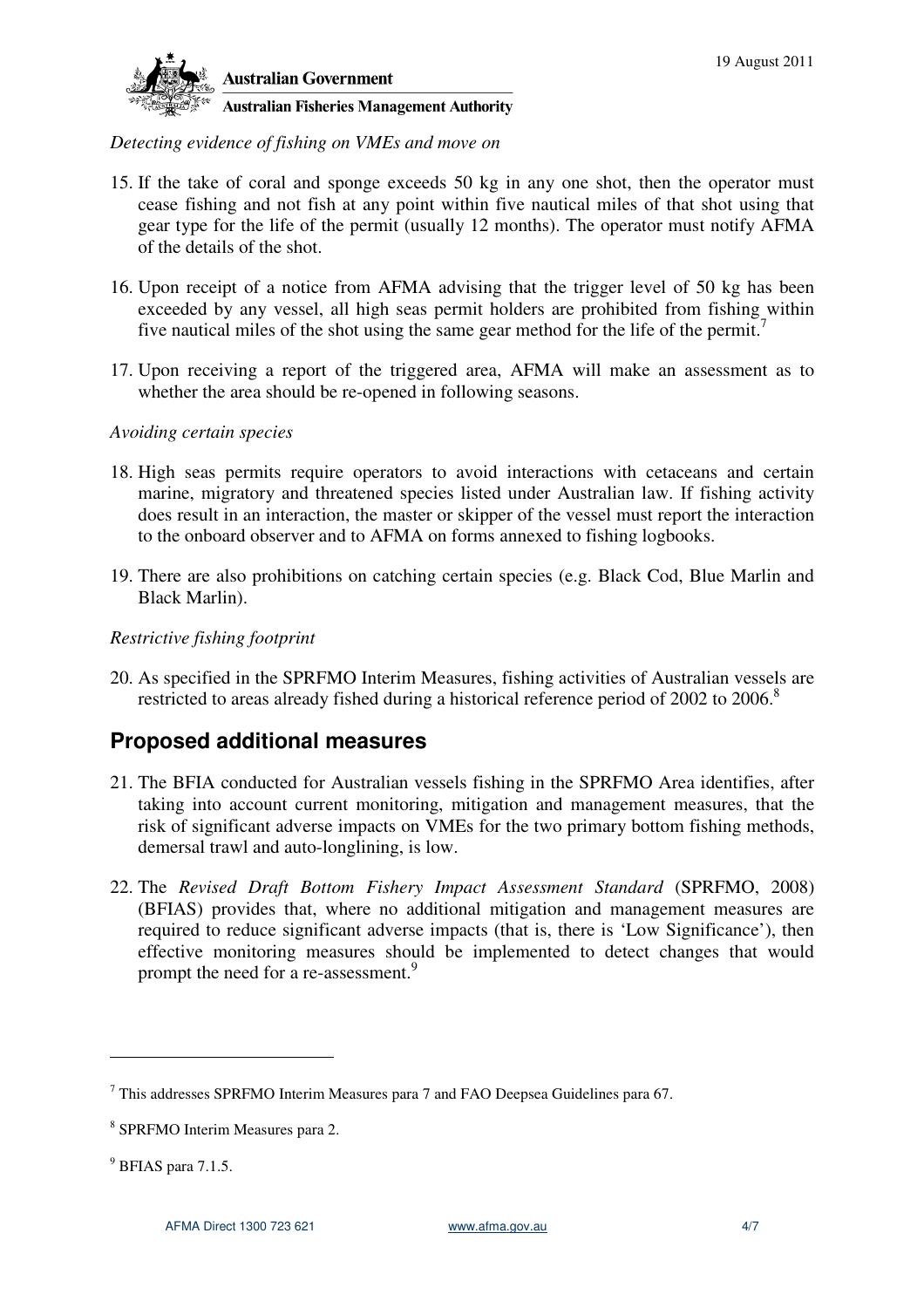

### *Detecting evidence of fishing on VMEs and move on*

- 15. If the take of coral and sponge exceeds 50 kg in any one shot, then the operator must cease fishing and not fish at any point within five nautical miles of that shot using that gear type for the life of the permit (usually 12 months). The operator must notify AFMA of the details of the shot.
- 16. Upon receipt of a notice from AFMA advising that the trigger level of 50 kg has been exceeded by any vessel, all high seas permit holders are prohibited from fishing within five nautical miles of the shot using the same gear method for the life of the permit.<sup>7</sup>
- 17. Upon receiving a report of the triggered area, AFMA will make an assessment as to whether the area should be re-opened in following seasons.

#### *Avoiding certain species*

- 18. High seas permits require operators to avoid interactions with cetaceans and certain marine, migratory and threatened species listed under Australian law. If fishing activity does result in an interaction, the master or skipper of the vessel must report the interaction to the onboard observer and to AFMA on forms annexed to fishing logbooks.
- 19. There are also prohibitions on catching certain species (e.g. Black Cod, Blue Marlin and Black Marlin).

### *Restrictive fishing footprint*

20. As specified in the SPRFMO Interim Measures, fishing activities of Australian vessels are restricted to areas already fished during a historical reference period of 2002 to 2006.<sup>8</sup>

## **Proposed additional measures**

- 21. The BFIA conducted for Australian vessels fishing in the SPRFMO Area identifies, after taking into account current monitoring, mitigation and management measures, that the risk of significant adverse impacts on VMEs for the two primary bottom fishing methods, demersal trawl and auto-longlining, is low.
- 22. The *Revised Draft Bottom Fishery Impact Assessment Standard* (SPRFMO, 2008) (BFIAS) provides that, where no additional mitigation and management measures are required to reduce significant adverse impacts (that is, there is 'Low Significance'), then effective monitoring measures should be implemented to detect changes that would prompt the need for a re-assessment.<sup>9</sup>

 $7$  This addresses SPRFMO Interim Measures para 7 and FAO Deepsea Guidelines para 67.

<sup>8</sup> SPRFMO Interim Measures para 2.

 $<sup>9</sup>$  BFIAS para 7.1.5.</sup>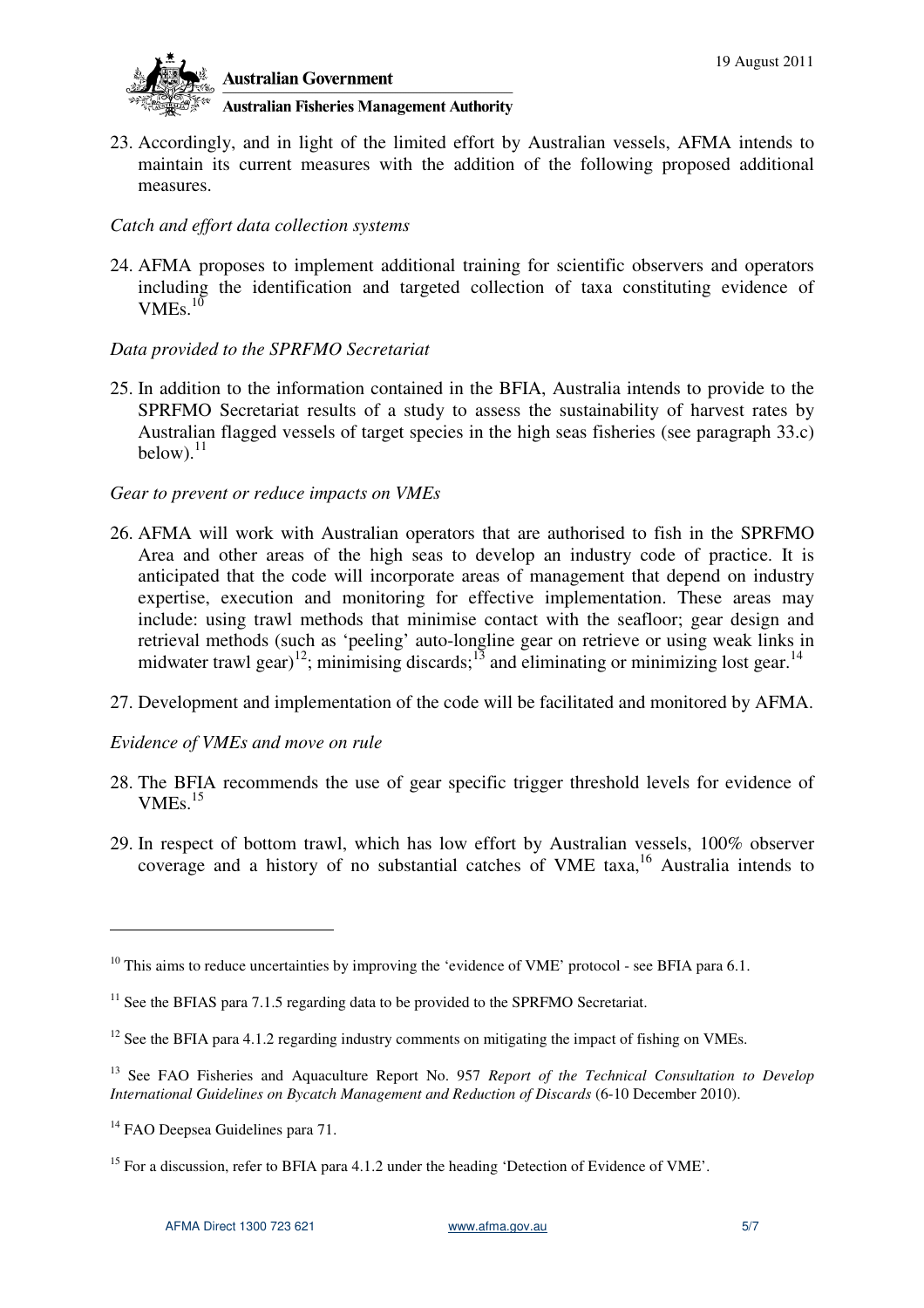

## **Australian Fisheries Management Authority**

23. Accordingly, and in light of the limited effort by Australian vessels, AFMA intends to maintain its current measures with the addition of the following proposed additional measures.

#### *Catch and effort data collection systems*

24. AFMA proposes to implement additional training for scientific observers and operators including the identification and targeted collection of taxa constituting evidence of VMEs $^{10}$ 

### *Data provided to the SPRFMO Secretariat*

25. In addition to the information contained in the BFIA, Australia intends to provide to the SPRFMO Secretariat results of a study to assess the sustainability of harvest rates by Australian flagged vessels of target species in the high seas fisheries (see paragraph 33.c) below). $^{11}$ 

#### *Gear to prevent or reduce impacts on VMEs*

- 26. AFMA will work with Australian operators that are authorised to fish in the SPRFMO Area and other areas of the high seas to develop an industry code of practice. It is anticipated that the code will incorporate areas of management that depend on industry expertise, execution and monitoring for effective implementation. These areas may include: using trawl methods that minimise contact with the seafloor; gear design and retrieval methods (such as 'peeling' auto-longline gear on retrieve or using weak links in midwater trawl gear)<sup>12</sup>; minimising discards;<sup>13</sup> and eliminating or minimizing lost gear.<sup>14</sup>
- 27. Development and implementation of the code will be facilitated and monitored by AFMA.

### *Evidence of VMEs and move on rule*

- 28. The BFIA recommends the use of gear specific trigger threshold levels for evidence of  $VMEs.<sup>15</sup>$
- 29. In respect of bottom trawl, which has low effort by Australian vessels, 100% observer coverage and a history of no substantial catches of VME taxa,<sup>16</sup> Australia intends to

 $10$  This aims to reduce uncertainties by improving the 'evidence of VME' protocol - see BFIA para 6.1.

 $11$  See the BFIAS para 7.1.5 regarding data to be provided to the SPRFMO Secretariat.

<sup>&</sup>lt;sup>12</sup> See the BFIA para 4.1.2 regarding industry comments on mitigating the impact of fishing on VMEs.

<sup>&</sup>lt;sup>13</sup> See FAO Fisheries and Aquaculture Report No. 957 *Report of the Technical Consultation to Develop International Guidelines on Bycatch Management and Reduction of Discards* (6-10 December 2010).

<sup>&</sup>lt;sup>14</sup> FAO Deepsea Guidelines para 71.

<sup>&</sup>lt;sup>15</sup> For a discussion, refer to BFIA para 4.1.2 under the heading 'Detection of Evidence of VME'.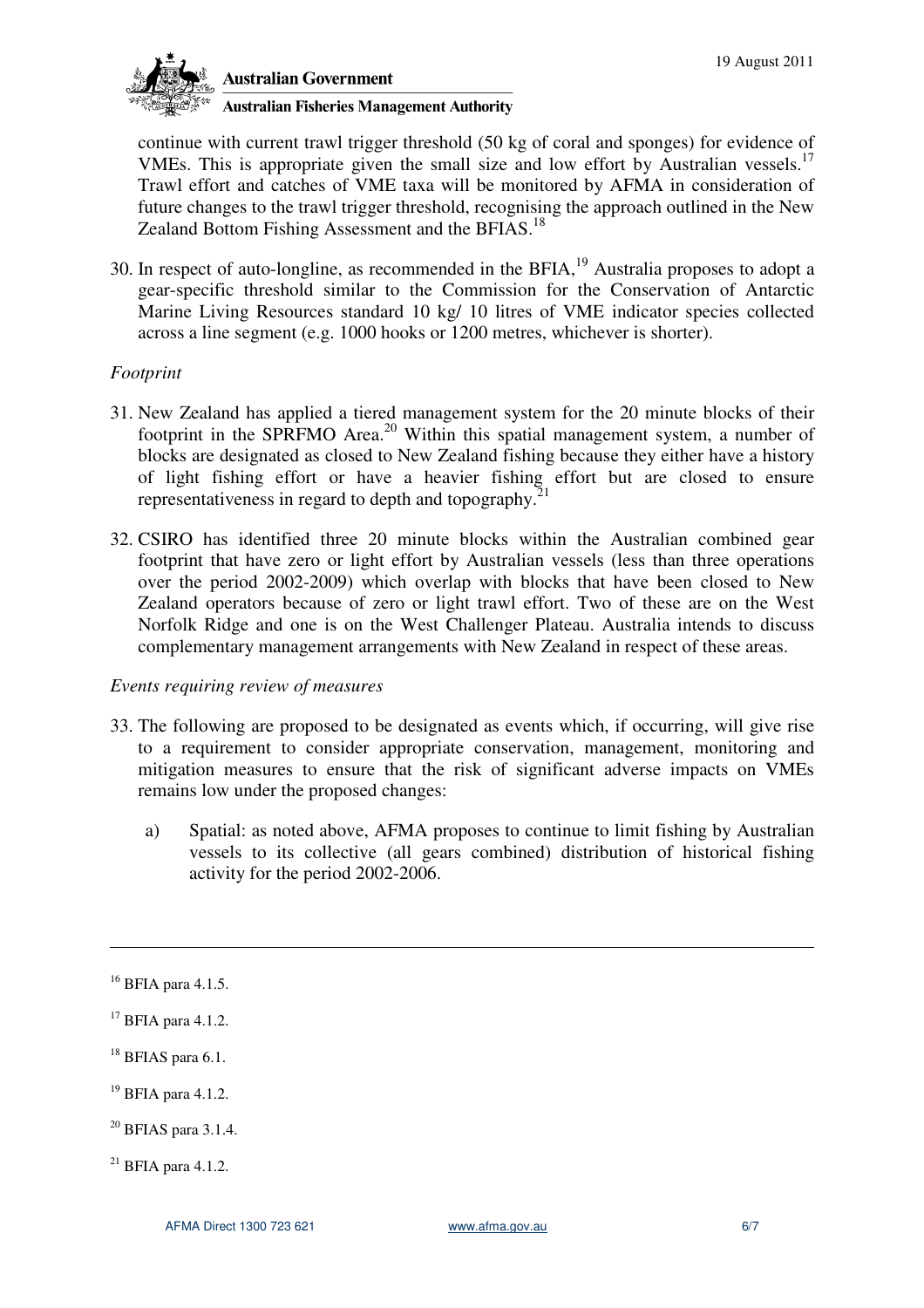

**Australian Government** 

**Australian Fisheries Management Authority** 

continue with current trawl trigger threshold (50 kg of coral and sponges) for evidence of VMEs. This is appropriate given the small size and low effort by Australian vessels.<sup>17</sup> Trawl effort and catches of VME taxa will be monitored by AFMA in consideration of future changes to the trawl trigger threshold, recognising the approach outlined in the New Zealand Bottom Fishing Assessment and the BFIAS.<sup>18</sup>

30. In respect of auto-longline, as recommended in the BFIA,<sup>19</sup> Australia proposes to adopt a gear-specific threshold similar to the Commission for the Conservation of Antarctic Marine Living Resources standard 10 kg/ 10 litres of VME indicator species collected across a line segment (e.g. 1000 hooks or 1200 metres, whichever is shorter).

## *Footprint*

- 31. New Zealand has applied a tiered management system for the 20 minute blocks of their footprint in the SPRFMO Area.<sup>20</sup> Within this spatial management system, a number of blocks are designated as closed to New Zealand fishing because they either have a history of light fishing effort or have a heavier fishing effort but are closed to ensure representativeness in regard to depth and topography. $21$
- 32. CSIRO has identified three 20 minute blocks within the Australian combined gear footprint that have zero or light effort by Australian vessels (less than three operations over the period 2002-2009) which overlap with blocks that have been closed to New Zealand operators because of zero or light trawl effort. Two of these are on the West Norfolk Ridge and one is on the West Challenger Plateau. Australia intends to discuss complementary management arrangements with New Zealand in respect of these areas.

### *Events requiring review of measures*

- 33. The following are proposed to be designated as events which, if occurring, will give rise to a requirement to consider appropriate conservation, management, monitoring and mitigation measures to ensure that the risk of significant adverse impacts on VMEs remains low under the proposed changes:
	- a) Spatial: as noted above, AFMA proposes to continue to limit fishing by Australian vessels to its collective (all gears combined) distribution of historical fishing activity for the period 2002-2006.

- $19$  BFIA para 4.1.2.
- $20$  BFIAS para 3.1.4.

 $16$  BFIA para 4.1.5.

<sup>17</sup> BFIA para 4.1.2.

 $18$  BFIAS para 6.1.

 $^{21}$  BFIA para 4.1.2.